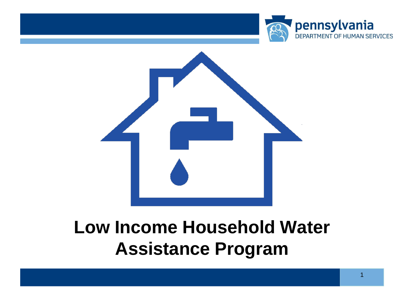



### **Low Income Household Water Assistance Program**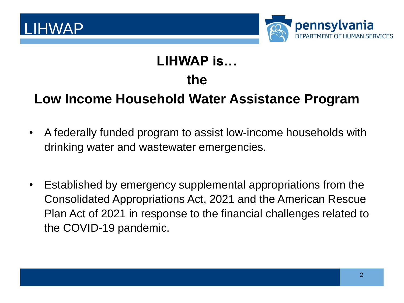



#### **LIHWAP is…**

#### **the**

#### **Low Income Household Water Assistance Program**

- A federally funded program to assist low-income households with drinking water and wastewater emergencies.
- Established by emergency supplemental appropriations from the Consolidated Appropriations Act, 2021 and the American Rescue Plan Act of 2021 in response to the financial challenges related to the COVID-19 pandemic.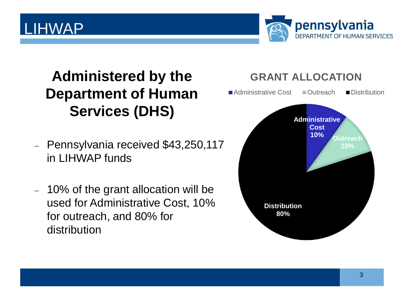#### LIHWAP



### **Administered by the Department of Human Services (DHS)**

- − Pennsylvania received \$43,250,117 in LIHWAP funds
- − 10% of the grant allocation will be used for Administrative Cost, 10% for outreach, and 80% for distribution

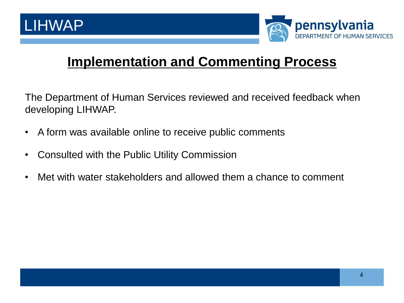

#### **Implementation and Commenting Process**

The Department of Human Services reviewed and received feedback when developing LIHWAP.

- A form was available online to receive public comments
- Consulted with the Public Utility Commission
- Met with water stakeholders and allowed them a chance to comment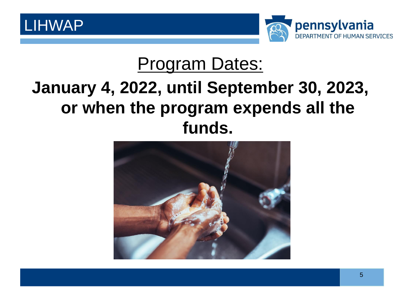



### Program Dates:

### **January 4, 2022, until September 30, 2023, or when the program expends all the funds.**

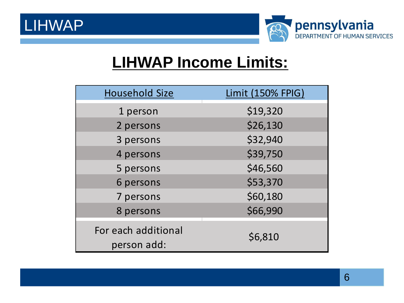LIHWAP



### **LIHWAP Income Limits:**

| <b>Household Size</b>              | <b>Limit (150% FPIG)</b> |
|------------------------------------|--------------------------|
| 1 person                           | \$19,320                 |
| 2 persons                          | \$26,130                 |
| 3 persons                          | \$32,940                 |
| 4 persons                          | \$39,750                 |
| 5 persons                          | \$46,560                 |
| 6 persons                          | \$53,370                 |
| 7 persons                          | \$60,180                 |
| 8 persons                          | \$66,990                 |
| For each additional<br>person add: | \$6,810                  |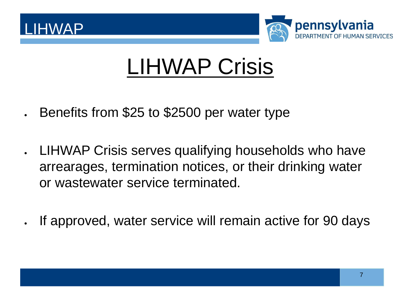



# LIHWAP Crisis

- Benefits from \$25 to \$2500 per water type
- LIHWAP Crisis serves qualifying households who have arrearages, termination notices, or their drinking water or wastewater service terminated.
- If approved, water service will remain active for 90 days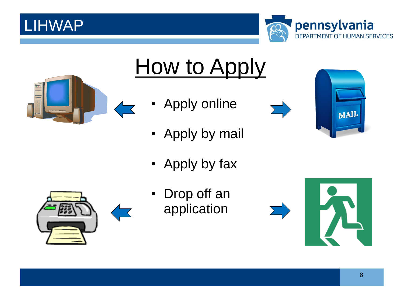### LIHWAP





# How to Apply

- Apply online
- Apply by mail
- Apply by fax



• Drop off an application





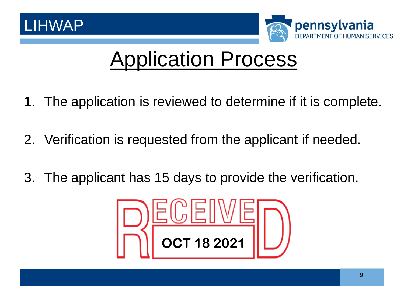



## Application Process

- 1. The application is reviewed to determine if it is complete.
- 2. Verification is requested from the applicant if needed.
- 3. The applicant has 15 days to provide the verification.

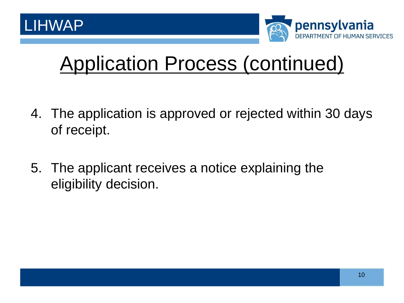

## Application Process (continued)

- 4. The application is approved or rejected within 30 days of receipt.
- 5. The applicant receives a notice explaining the eligibility decision.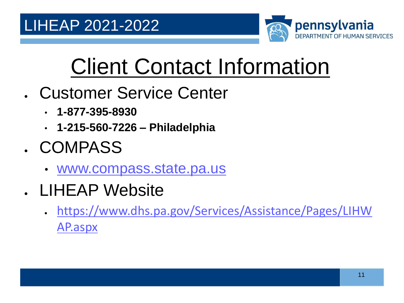

# Client Contact Information

- Customer Service Center
	- **1-877-395-8930**
	- **1-215-560-7226 – Philadelphia**
- COMPASS
	- [www.compass.state.pa.us](http://www.compass.state.pa.us/)
- LIHEAP Website
	- [https://www.dhs.pa.gov/Services/Assistance/Pages/LIHW](https://www.dhs.pa.gov/Services/Assistance/Pages/LIHWAP.aspx) AP.aspx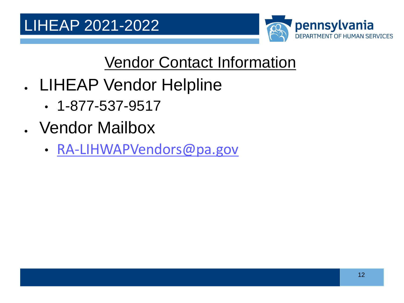

### Vendor Contact Information

- LIHEAP Vendor Helpline
	- 1-877-537-9517
- Vendor Mailbox
	- [RA-LIHWAPVendors@pa.gov](mailto:RA-LIHWAPVendors@pa.gov)